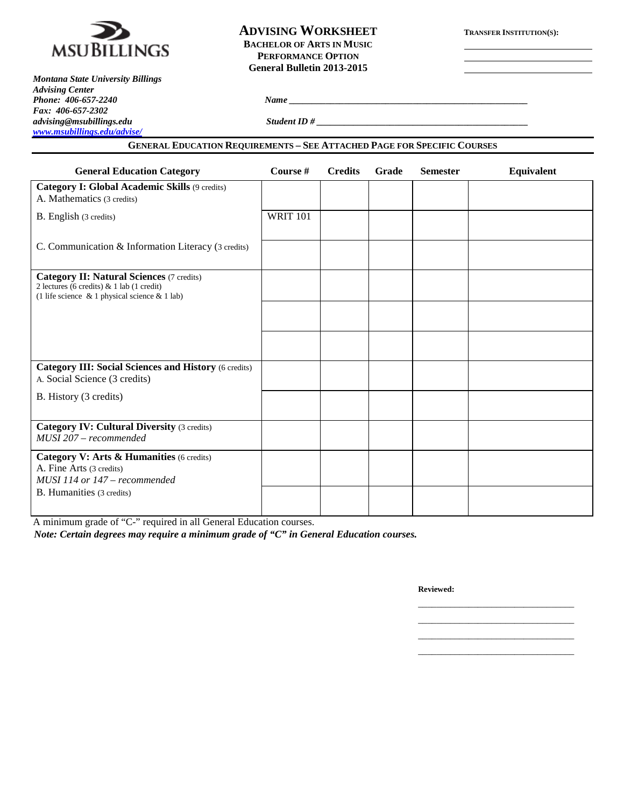

## **ADVISING WORKSHEET TRANSFER INSTITUTION(S): BACHELOR OF ARTS IN MUSIC PERFORMANCE OPTION General Bulletin 2013-2015**

*Montana State University Billings Advising Center Fax: 406-657-2302 advising@msubillings.edu Student ID # \_\_\_\_\_\_\_\_\_\_\_\_\_\_\_\_\_\_\_\_\_\_\_\_\_\_\_\_\_\_\_\_\_\_\_\_\_\_\_\_\_\_\_\_\_\_ [www.msubillings.edu/advise/](http://www.msubillings.edu/advise/)*

*Phone: 406-657-2240 Name \_\_\_\_\_\_\_\_\_\_\_\_\_\_\_\_\_\_\_\_\_\_\_\_\_\_\_\_\_\_\_\_\_\_\_\_\_\_\_\_\_\_\_\_\_\_\_\_\_\_\_\_*

**GENERAL EDUCATION REQUIREMENTS – SEE ATTACHED PAGE FOR SPECIFIC COURSES**

| <b>General Education Category</b>                                                                                                                      | Course #        | <b>Credits</b> | Grade | <b>Semester</b> | Equivalent |
|--------------------------------------------------------------------------------------------------------------------------------------------------------|-----------------|----------------|-------|-----------------|------------|
| Category I: Global Academic Skills (9 credits)<br>A. Mathematics (3 credits)                                                                           |                 |                |       |                 |            |
| B. English (3 credits)                                                                                                                                 | <b>WRIT 101</b> |                |       |                 |            |
| C. Communication & Information Literacy (3 credits)                                                                                                    |                 |                |       |                 |            |
| <b>Category II: Natural Sciences (7 credits)</b><br>2 lectures (6 credits) $& 1$ lab (1 credit)<br>(1 life science $\&$ 1 physical science $\&$ 1 lab) |                 |                |       |                 |            |
|                                                                                                                                                        |                 |                |       |                 |            |
|                                                                                                                                                        |                 |                |       |                 |            |
| <b>Category III: Social Sciences and History (6 credits)</b><br>A. Social Science (3 credits)                                                          |                 |                |       |                 |            |
| B. History (3 credits)                                                                                                                                 |                 |                |       |                 |            |
| <b>Category IV: Cultural Diversity (3 credits)</b><br>MUSI 207 - recommended                                                                           |                 |                |       |                 |            |
| Category V: Arts & Humanities (6 credits)<br>A. Fine Arts (3 credits)<br>MUSI 114 or 147 - recommended                                                 |                 |                |       |                 |            |
| B. Humanities (3 credits)                                                                                                                              |                 |                |       |                 |            |

A minimum grade of "C-" required in all General Education courses. *Note: Certain degrees may require a minimum grade of "C" in General Education courses.*

**Reviewed:**

\_\_\_\_\_\_\_\_\_\_\_\_\_\_\_\_\_\_\_\_\_\_\_\_\_\_\_\_\_\_\_\_\_\_ \_\_\_\_\_\_\_\_\_\_\_\_\_\_\_\_\_\_\_\_\_\_\_\_\_\_\_\_\_\_\_\_\_\_ \_\_\_\_\_\_\_\_\_\_\_\_\_\_\_\_\_\_\_\_\_\_\_\_\_\_\_\_\_\_\_\_\_\_ \_\_\_\_\_\_\_\_\_\_\_\_\_\_\_\_\_\_\_\_\_\_\_\_\_\_\_\_\_\_\_\_\_\_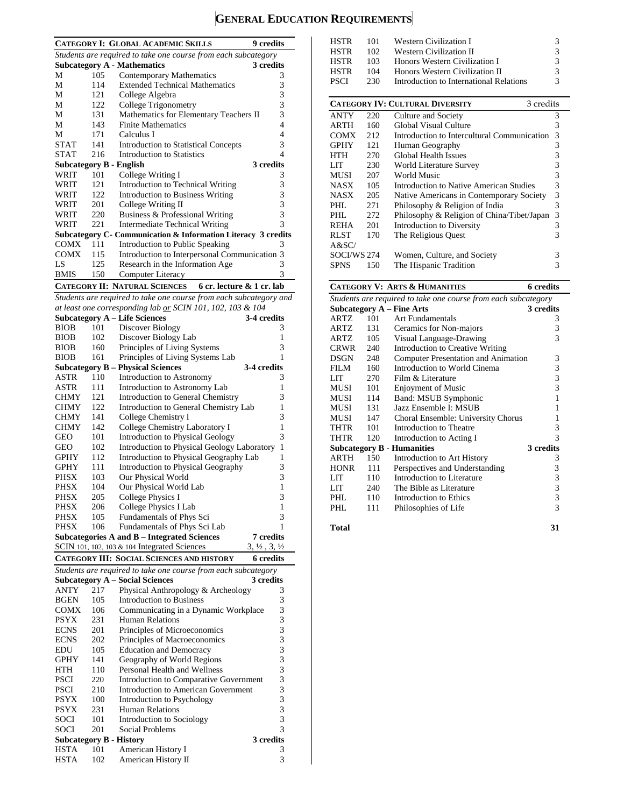# **GENERAL EDUCATION REQUIREMENTS**

|                                        |            | <b>CATEGORY I: GLOBAL ACADEMIC SKILLS</b>                                                          | <b>9</b> credits                           |
|----------------------------------------|------------|----------------------------------------------------------------------------------------------------|--------------------------------------------|
|                                        |            | Students are required to take one course from each subcategory                                     |                                            |
|                                        |            | <b>Subcategory A - Mathematics</b>                                                                 | 3 credits                                  |
| М<br>М                                 | 105<br>114 | Contemporary Mathematics<br><b>Extended Technical Mathematics</b>                                  | 3<br>3                                     |
| М                                      | 121        | College Algebra                                                                                    | 3                                          |
| М                                      | 122        | College Trigonometry                                                                               | 3                                          |
| М                                      | 131        | Mathematics for Elementary Teachers II                                                             | 3                                          |
| М                                      | 143        | <b>Finite Mathematics</b>                                                                          | 4                                          |
| М                                      | 171        | Calculus I                                                                                         | 4                                          |
| <b>STAT</b>                            | 141        | <b>Introduction to Statistical Concepts</b>                                                        | 3                                          |
| <b>STAT</b>                            | 216        | <b>Introduction to Statistics</b>                                                                  | 4                                          |
| <b>Subcategory B - English</b><br>WRIT | 101        | College Writing I                                                                                  | 3 credits<br>3                             |
| WRIT                                   | 121        | Introduction to Technical Writing                                                                  | 3                                          |
| WRIT                                   | 122        | <b>Introduction to Business Writing</b>                                                            | 3                                          |
| WRIT                                   | 201        | College Writing II                                                                                 | 3                                          |
| WRIT                                   | 220        | Business & Professional Writing                                                                    | $\overline{3}$                             |
| WRIT                                   | 221        | <b>Intermediate Technical Writing</b>                                                              | 3                                          |
|                                        |            | Subcategory C- Communication & Information Literacy 3 credits                                      |                                            |
| COMX                                   | 111        | Introduction to Public Speaking                                                                    | 3                                          |
| <b>COMX</b>                            | 115        | Introduction to Interpersonal Communication 3                                                      |                                            |
| LS                                     | 125<br>150 | Research in the Information Age                                                                    | 3<br>3                                     |
| <b>BMIS</b>                            |            | Computer Literacy                                                                                  |                                            |
|                                        |            | <b>CATEGORY II: NATURAL SCIENCES</b><br>6 cr. lecture & 1 cr. lab                                  |                                            |
|                                        |            | Students are required to take one course from each subcategory and                                 |                                            |
|                                        |            | at least one corresponding lab or SCIN 101, 102, 103 & 104<br><b>Subcategory A - Life Sciences</b> | 3-4 credits                                |
| <b>BIOB</b>                            | 101        | Discover Biology                                                                                   | 3                                          |
| <b>BIOB</b>                            | 102        | Discover Biology Lab                                                                               | 1                                          |
| <b>BIOB</b>                            | 160        | Principles of Living Systems                                                                       | 3                                          |
| <b>BIOB</b>                            | 161        | Principles of Living Systems Lab                                                                   | 1                                          |
|                                        |            | <b>Subcategory B - Physical Sciences</b>                                                           | 3-4 credits                                |
| ASTR                                   | 110        | Introduction to Astronomy                                                                          | 3                                          |
| ASTR                                   | 111        | Introduction to Astronomy Lab                                                                      | 1                                          |
| CHMY                                   | 121        | <b>Introduction to General Chemistry</b>                                                           | 3                                          |
| <b>CHMY</b><br><b>CHMY</b>             | 122<br>141 | Introduction to General Chemistry Lab<br>College Chemistry I                                       | 1<br>3                                     |
| <b>CHMY</b>                            | 142        | College Chemistry Laboratory I                                                                     | $\mathbf{1}$                               |
| GEO                                    | 101        | Introduction to Physical Geology                                                                   | 3                                          |
| GEO                                    | 102        | Introduction to Physical Geology Laboratory                                                        | 1                                          |
| GPHY                                   | 112        | Introduction to Physical Geography Lab                                                             | 1                                          |
| GPHY                                   | 111        | Introduction to Physical Geography                                                                 | 3                                          |
| PHSX                                   | 103        | Our Physical World                                                                                 | 3                                          |
| PHSX                                   | 104        | Our Physical World Lab                                                                             | 1                                          |
| <b>PHSX</b>                            | 205<br>206 | <b>College Physics I</b>                                                                           | 3                                          |
| PHSX<br>PHSX                           | 105        | College Physics I Lab<br>Fundamentals of Phys Sci                                                  | $\mathbf{1}$<br>3                          |
| PHSX                                   | 106        | Fundamentals of Phys Sci Lab                                                                       | 1                                          |
|                                        |            | <b>Subcategories A and B - Integrated Sciences</b>                                                 | 7 credits                                  |
|                                        |            | SCIN 101, 102, 103 & 104 Integrated Sciences                                                       | $3, \frac{1}{2}, 3, \frac{1}{2}$           |
|                                        |            | <b>CATEGORY III: SOCIAL SCIENCES AND HISTORY</b>                                                   | 6 credits                                  |
|                                        |            | Students are required to take one course from each subcategory                                     |                                            |
|                                        |            | <b>Subcategory A – Social Sciences</b>                                                             | 3 credits                                  |
| ANTY                                   | 217        | Physical Anthropology & Archeology                                                                 | 3                                          |
| <b>BGEN</b>                            | 105        | <b>Introduction to Business</b>                                                                    | 3                                          |
| COMX                                   | 106        | Communicating in a Dynamic Workplace                                                               | 3                                          |
| PSYX                                   | 231        | <b>Human Relations</b>                                                                             | $\frac{3}{3}$                              |
| <b>ECNS</b>                            | 201        | Principles of Microeconomics                                                                       |                                            |
| <b>ECNS</b><br>EDU                     | 202<br>105 | Principles of Macroeconomics<br><b>Education and Democracy</b>                                     | $\begin{array}{c} 3 \\ 3 \\ 3 \end{array}$ |
| GPHY                                   | 141        | Geography of World Regions                                                                         |                                            |
| HTH                                    | 110        | Personal Health and Wellness                                                                       | 3                                          |
| <b>PSCI</b>                            | 220        | Introduction to Comparative Government                                                             |                                            |
| PSCI                                   | 210        | Introduction to American Government                                                                | $\frac{3}{3}$                              |
| PSYX                                   | 100        | Introduction to Psychology                                                                         | $\frac{3}{3}$                              |
| <b>PSYX</b>                            | 231        | <b>Human Relations</b>                                                                             |                                            |
| SOCI                                   | 101        | Introduction to Sociology                                                                          | 3                                          |
| SOCI                                   | 201        | Social Problems                                                                                    | 3                                          |
| <b>Subcategory B - History</b><br>HSTA | 101        | American History I                                                                                 | 3 credits<br>3                             |
| <b>HSTA</b>                            | 102        | American History II                                                                                | 3                                          |
|                                        |            |                                                                                                    |                                            |

| HSTR | 101 | Western Civilization I                  |   |
|------|-----|-----------------------------------------|---|
| HSTR | 102 | Western Civilization II                 | 3 |
| HSTR | 103 | Honors Western Civilization I           | 3 |
| HSTR | 104 | Honors Western Civilization II          | 3 |
| PSCI | 230 | Introduction to International Relations | 3 |
|      |     |                                         |   |

|             |     | <b>CATEGORY IV: CULTURAL DIVERSITY</b>      | 3 credits |
|-------------|-----|---------------------------------------------|-----------|
| <b>ANTY</b> | 220 | Culture and Society                         | 3         |
| <b>ARTH</b> | 160 | Global Visual Culture                       | 3         |
| <b>COMX</b> | 212 | Introduction to Intercultural Communication | 3         |
| <b>GPHY</b> | 121 | Human Geography                             | 3         |
| HTH         | 270 | Global Health Issues                        | 3         |
| LIT         | 230 | World Literature Survey                     | 3         |
| <b>MUSI</b> | 207 | World Music                                 | 3         |
| <b>NASX</b> | 105 | Introduction to Native American Studies     | 3         |
| <b>NASX</b> | 205 | Native Americans in Contemporary Society    | 3         |
| PHL.        | 271 | Philosophy & Religion of India              | 3         |
| PHL         | 272 | Philosophy & Religion of China/Tibet/Japan  | 3         |
| <b>REHA</b> | 201 | Introduction to Diversity                   | 3         |
| <b>RLST</b> | 170 | The Religious Quest                         | 3         |
| A&SC/       |     |                                             |           |
| SOCI/WS 274 |     | Women, Culture, and Society                 | 3         |
| SPNS        | 150 | The Hispanic Tradition                      | 3         |

## **CATEGORY V: ARTS & HUMANITIES 6 credits**

| Students are required to take one course from each subcategory |     |                                            |           |  |  |
|----------------------------------------------------------------|-----|--------------------------------------------|-----------|--|--|
|                                                                |     | <b>Subcategory A - Fine Arts</b>           | 3 credits |  |  |
| <b>ARTZ</b>                                                    | 101 | Art Fundamentals                           | 3         |  |  |
| ARTZ                                                           | 131 | Ceramics for Non-majors                    | 3         |  |  |
| ARTZ                                                           | 105 | Visual Language-Drawing                    | 3         |  |  |
| <b>CRWR</b>                                                    | 240 | <b>Introduction to Creative Writing</b>    |           |  |  |
| DSGN                                                           | 248 | <b>Computer Presentation and Animation</b> | 3         |  |  |
| FILM                                                           | 160 | Introduction to World Cinema               | 3         |  |  |
| LIT                                                            | 270 | Film & Literature                          | 3         |  |  |
| MUSI                                                           | 101 | <b>Enjoyment of Music</b>                  | 3         |  |  |
| MUSI                                                           | 114 | Band: MSUB Symphonic                       | 1         |  |  |
| <b>MUSI</b>                                                    | 131 | Jazz Ensemble I: MSUB                      |           |  |  |
| <b>MUSI</b>                                                    | 147 | Choral Ensemble: University Chorus         | l         |  |  |
| THTR                                                           | 101 | Introduction to Theatre                    | 3         |  |  |
| <b>THTR</b>                                                    | 120 | Introduction to Acting I                   | 3         |  |  |
|                                                                |     | <b>Subcategory B - Humanities</b>          | 3 credits |  |  |
| <b>ARTH</b>                                                    | 150 | Introduction to Art History                | 3         |  |  |
| <b>HONR</b>                                                    | 111 | Perspectives and Understanding             | 3         |  |  |
| <b>LIT</b>                                                     | 110 | Introduction to Literature                 | 3         |  |  |
| LIT                                                            | 240 | The Bible as Literature                    | 3         |  |  |
| PHL                                                            | 110 | Introduction to Ethics                     | 3         |  |  |
| PHL                                                            | 111 | Philosophies of Life                       | 3         |  |  |
|                                                                |     |                                            |           |  |  |

**Total 31**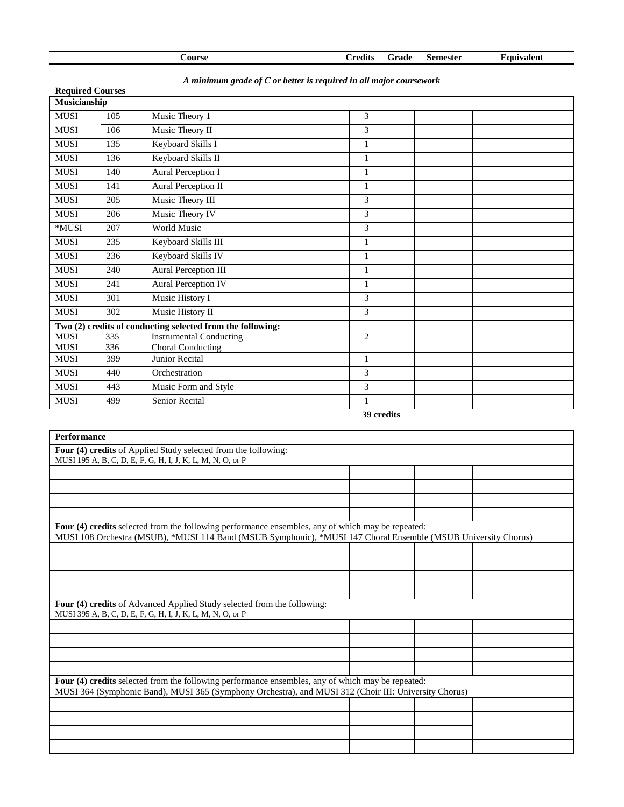| - -<br>Grade<br>Semester<br>∠quivalent<br><b>Course</b><br>- credits - |  |
|------------------------------------------------------------------------|--|
|------------------------------------------------------------------------|--|

*A minimum grade of C or better is required in all major coursework*

| <b>Required Courses</b> |     | А типинит graat of C or beatr is required in an major coursework |              |  |
|-------------------------|-----|------------------------------------------------------------------|--------------|--|
| Musicianship            |     |                                                                  |              |  |
| <b>MUSI</b>             | 105 | Music Theory 1                                                   | 3            |  |
| <b>MUSI</b>             | 106 | Music Theory II                                                  | 3            |  |
| <b>MUSI</b>             | 135 | Keyboard Skills I                                                | $\mathbf{1}$ |  |
| <b>MUSI</b>             | 136 | Keyboard Skills II                                               | 1            |  |
| <b>MUSI</b>             | 140 | Aural Perception I                                               | 1            |  |
| <b>MUSI</b>             | 141 | <b>Aural Perception II</b>                                       | $\mathbf{1}$ |  |
| <b>MUSI</b>             | 205 | Music Theory III                                                 | 3            |  |
| <b>MUSI</b>             | 206 | Music Theory IV                                                  | 3            |  |
| *MUSI                   | 207 | World Music                                                      | 3            |  |
| <b>MUSI</b>             | 235 | Keyboard Skills III                                              | 1            |  |
| <b>MUSI</b>             | 236 | Keyboard Skills IV                                               | 1            |  |
| <b>MUSI</b>             | 240 | Aural Perception III                                             | 1            |  |
| <b>MUSI</b>             | 241 | <b>Aural Perception IV</b>                                       | $\mathbf{1}$ |  |
| <b>MUSI</b>             | 301 | Music History I                                                  | 3            |  |
| <b>MUSI</b>             | 302 | Music History II                                                 | 3            |  |
|                         |     | Two (2) credits of conducting selected from the following:       |              |  |
| <b>MUSI</b>             | 335 | <b>Instrumental Conducting</b>                                   | 2            |  |
| <b>MUSI</b>             | 336 | <b>Choral Conducting</b>                                         |              |  |
| <b>MUSI</b>             | 399 | Junior Recital                                                   | $\mathbf{1}$ |  |
| <b>MUSI</b>             | 440 | Orchestration                                                    | 3            |  |
| <b>MUSI</b>             | 443 | Music Form and Style                                             | 3            |  |
| <b>MUSI</b>             | 499 | <b>Senior Recital</b>                                            | 1            |  |

**39 credits**

|  | Four (4) credits selected from the following performance ensembles, any of which may be repeated:<br>MUSI 108 Orchestra (MSUB), *MUSI 114 Band (MSUB Symphonic), *MUSI 147 Choral Ensemble (MSUB University Chorus)<br>Four (4) credits selected from the following performance ensembles, any of which may be repeated:<br>MUSI 364 (Symphonic Band), MUSI 365 (Symphony Orchestra), and MUSI 312 (Choir III: University Chorus) |
|--|-----------------------------------------------------------------------------------------------------------------------------------------------------------------------------------------------------------------------------------------------------------------------------------------------------------------------------------------------------------------------------------------------------------------------------------|

**r**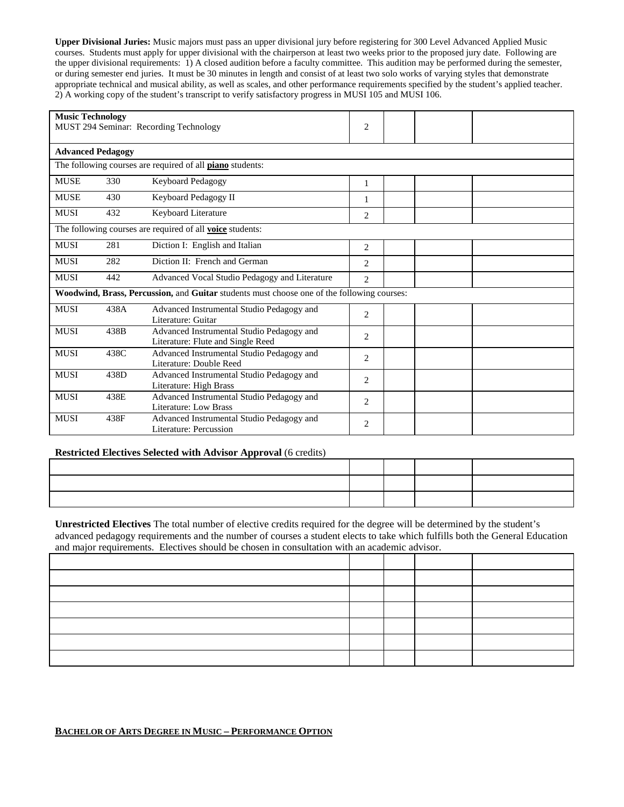**Upper Divisional Juries:** Music majors must pass an upper divisional jury before registering for 300 Level Advanced Applied Music courses. Students must apply for upper divisional with the chairperson at least two weeks prior to the proposed jury date. Following are the upper divisional requirements: 1) A closed audition before a faculty committee. This audition may be performed during the semester, or during semester end juries. It must be 30 minutes in length and consist of at least two solo works of varying styles that demonstrate appropriate technical and musical ability, as well as scales, and other performance requirements specified by the student's applied teacher. 2) A working copy of the student's transcript to verify satisfactory progress in MUSI 105 and MUSI 106.

| <b>Music Technology</b><br>MUST 294 Seminar: Recording Technology   |                          |                                                                                            | $\overline{2}$ |  |  |
|---------------------------------------------------------------------|--------------------------|--------------------------------------------------------------------------------------------|----------------|--|--|
|                                                                     | <b>Advanced Pedagogy</b> |                                                                                            |                |  |  |
|                                                                     |                          | The following courses are required of all <b>piano</b> students:                           |                |  |  |
| <b>MUSE</b>                                                         | 330                      | Keyboard Pedagogy                                                                          | 1              |  |  |
| <b>MUSE</b>                                                         | 430                      | Keyboard Pedagogy II                                                                       | 1              |  |  |
| <b>MUSI</b>                                                         | 432                      | Keyboard Literature                                                                        | 2              |  |  |
|                                                                     |                          | The following courses are required of all voice students:                                  |                |  |  |
| <b>MUSI</b>                                                         | 281                      | Diction I: English and Italian                                                             | 2              |  |  |
| <b>MUSI</b>                                                         | 282                      | Diction II: French and German                                                              | 2              |  |  |
| <b>MUSI</b><br>442<br>Advanced Vocal Studio Pedagogy and Literature |                          |                                                                                            |                |  |  |
|                                                                     |                          | Woodwind, Brass, Percussion, and Guitar students must choose one of the following courses: |                |  |  |
| <b>MUSI</b>                                                         | 438A                     | Advanced Instrumental Studio Pedagogy and<br>Literature: Guitar                            | 2              |  |  |
| <b>MUSI</b>                                                         | 438B                     | Advanced Instrumental Studio Pedagogy and<br>Literature: Flute and Single Reed             | 2              |  |  |
| <b>MUSI</b>                                                         | 438C                     | Advanced Instrumental Studio Pedagogy and<br>Literature: Double Reed                       | 2              |  |  |
| <b>MUSI</b>                                                         | 438D                     | Advanced Instrumental Studio Pedagogy and<br>Literature: High Brass                        | 2              |  |  |
| <b>MUSI</b>                                                         | 438E                     | Advanced Instrumental Studio Pedagogy and<br>Literature: Low Brass                         | 2              |  |  |
| <b>MUSI</b>                                                         | 438F                     | Advanced Instrumental Studio Pedagogy and<br>Literature: Percussion                        | 2              |  |  |

### **Restricted Electives Selected with Advisor Approval** (6 credits)

**Unrestricted Electives** The total number of elective credits required for the degree will be determined by the student's advanced pedagogy requirements and the number of courses a student elects to take which fulfills both the General Education and major requirements. Electives should be chosen in consultation with an academic advisor.

### **BACHELOR OF ARTS DEGREE IN MUSIC – PERFORMANCE OPTION**